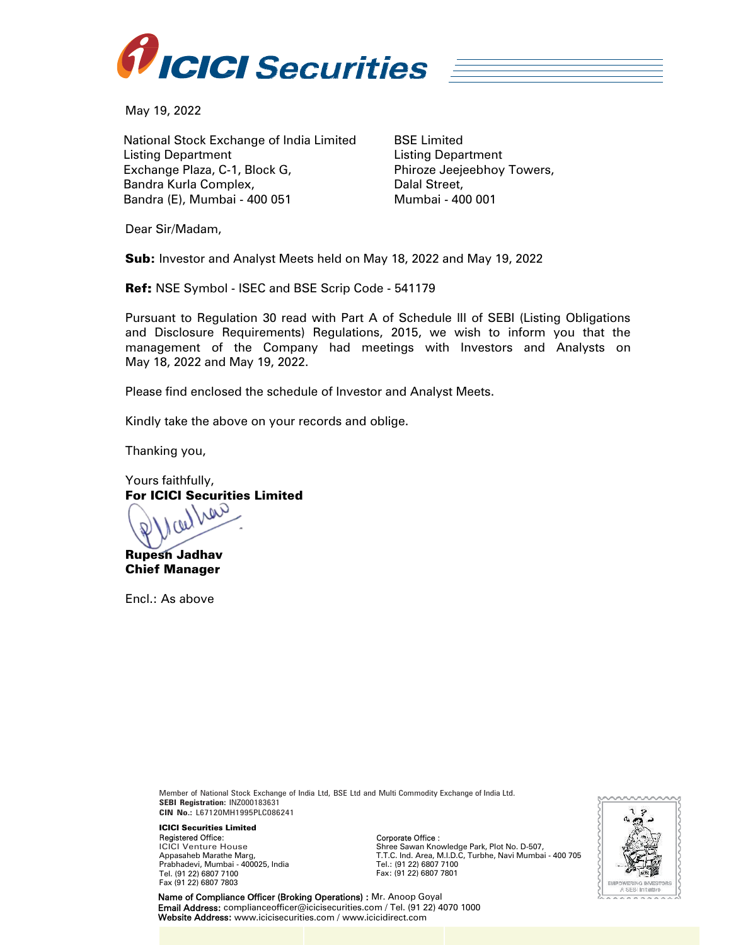

May 19, 2022

National Stock Exchange of India Limited Listing Department Exchange Plaza, C-1, Block G, Bandra Kurla Complex, Bandra (E), Mumbai - 400 051

BSE Limited Listing Department Phiroze Jeejeebhoy Towers, Dalal Street, Mumbai - 400 001

Dear Sir/Madam,

Sub: Investor and Analyst Meets held on May 18, 2022 and May 19, 2022

Ref: NSE Symbol - ISEC and BSE Scrip Code - 541179

Pursuant to Regulation 30 read with Part A of Schedule III of SEBI (Listing Obligations and Disclosure Requirements) Regulations, 2015, we wish to inform you that the management of the Company had meetings with Investors and Analysts on May 18, 2022 and May 19, 2022.

Please find enclosed the schedule of Investor and Analyst Meets.

Kindly take the above on your records and oblige.

Thanking you,

Yours faithfully, For ICICI Securities Limited

Lier Rupesh Jadhav

Chief Manager

Encl.: As above

Member of National Stock Exchange of India Ltd, BSE Ltd and Multi Commodity Exchange of India Ltd. **SEBI Registration:** INZ000183631 **CIN No.:** L67120MH1995PLC086241

ICICI Securities Limited Registered Office: ICICI Venture House Appasaheb Marathe Marg, Prabhadevi, Mumbai - 400025, India Tel. (91 22) 6807 7100 Fax (91 22) 6807 7803

Corporate Office :

Shree Sawan Knowledge Park, Plot No. D-507, T.T.C. Ind. Area, M.I.D.C, Turbhe, Navi Mumbai - 400 705 Tel.: (91 22) 6807 7100 Fax: (91 22) 6807 7801



Name of Compliance Officer (Broking Operations) : Mr. Anoop Goyal Email Address: complianceofficer@icicisecurities.com / Tel. (91 22) 4070 1000 Website Address: www.icicisecurities.com / www.icicidirect.com